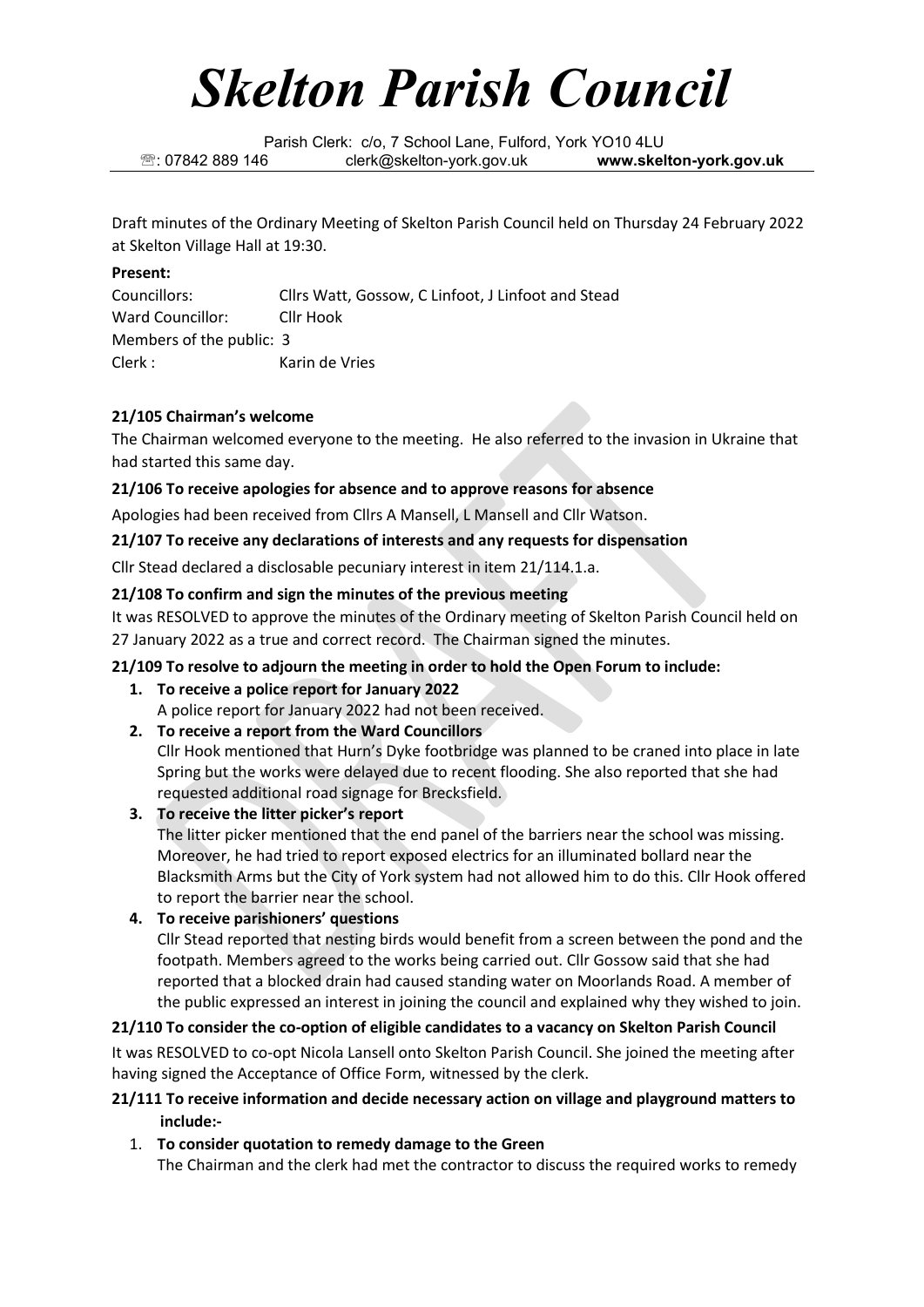# *Skelton Parish Council*

Parish Clerk: c/o, 7 School Lane, Fulford, York YO10 4LU : 07842 889 146 clerk@skelton-york.gov.uk **www.skelton-york.gov.uk**

Draft minutes of the Ordinary Meeting of Skelton Parish Council held on Thursday 24 February 2022 at Skelton Village Hall at 19:30.

# **Present:**

Councillors: Cllrs Watt, Gossow, C Linfoot, J Linfoot and Stead Ward Councillor: Cllr Hook Members of the public: 3 Clerk : Karin de Vries

# **21/105 Chairman's welcome**

The Chairman welcomed everyone to the meeting. He also referred to the invasion in Ukraine that had started this same day.

# **21/106 To receive apologies for absence and to approve reasons for absence**

Apologies had been received from Cllrs A Mansell, L Mansell and Cllr Watson.

**21/107 To receive any declarations of interests and any requests for dispensation**

Cllr Stead declared a disclosable pecuniary interest in item 21/114.1.a.

# **21/108 To confirm and sign the minutes of the previous meeting**

It was RESOLVED to approve the minutes of the Ordinary meeting of Skelton Parish Council held on 27 January 2022 as a true and correct record. The Chairman signed the minutes.

# **21/109 To resolve to adjourn the meeting in order to hold the Open Forum to include:**

- **1. To receive a police report for January 2022** A police report for January 2022 had not been received.
- **2. To receive a report from the Ward Councillors**

Cllr Hook mentioned that Hurn's Dyke footbridge was planned to be craned into place in late Spring but the works were delayed due to recent flooding. She also reported that she had requested additional road signage for Brecksfield.

**3. To receive the litter picker's report**

The litter picker mentioned that the end panel of the barriers near the school was missing. Moreover, he had tried to report exposed electrics for an illuminated bollard near the Blacksmith Arms but the City of York system had not allowed him to do this. Cllr Hook offered to report the barrier near the school.

**4. To receive parishioners' questions**

Cllr Stead reported that nesting birds would benefit from a screen between the pond and the footpath. Members agreed to the works being carried out. Cllr Gossow said that she had reported that a blocked drain had caused standing water on Moorlands Road. A member of the public expressed an interest in joining the council and explained why they wished to join.

# **21/110 To consider the co-option of eligible candidates to a vacancy on Skelton Parish Council** It was RESOLVED to co-opt Nicola Lansell onto Skelton Parish Council. She joined the meeting after

having signed the Acceptance of Office Form, witnessed by the clerk.

# **21/111 To receive information and decide necessary action on village and playground matters to include:-**

1. **To consider quotation to remedy damage to the Green** The Chairman and the clerk had met the contractor to discuss the required works to remedy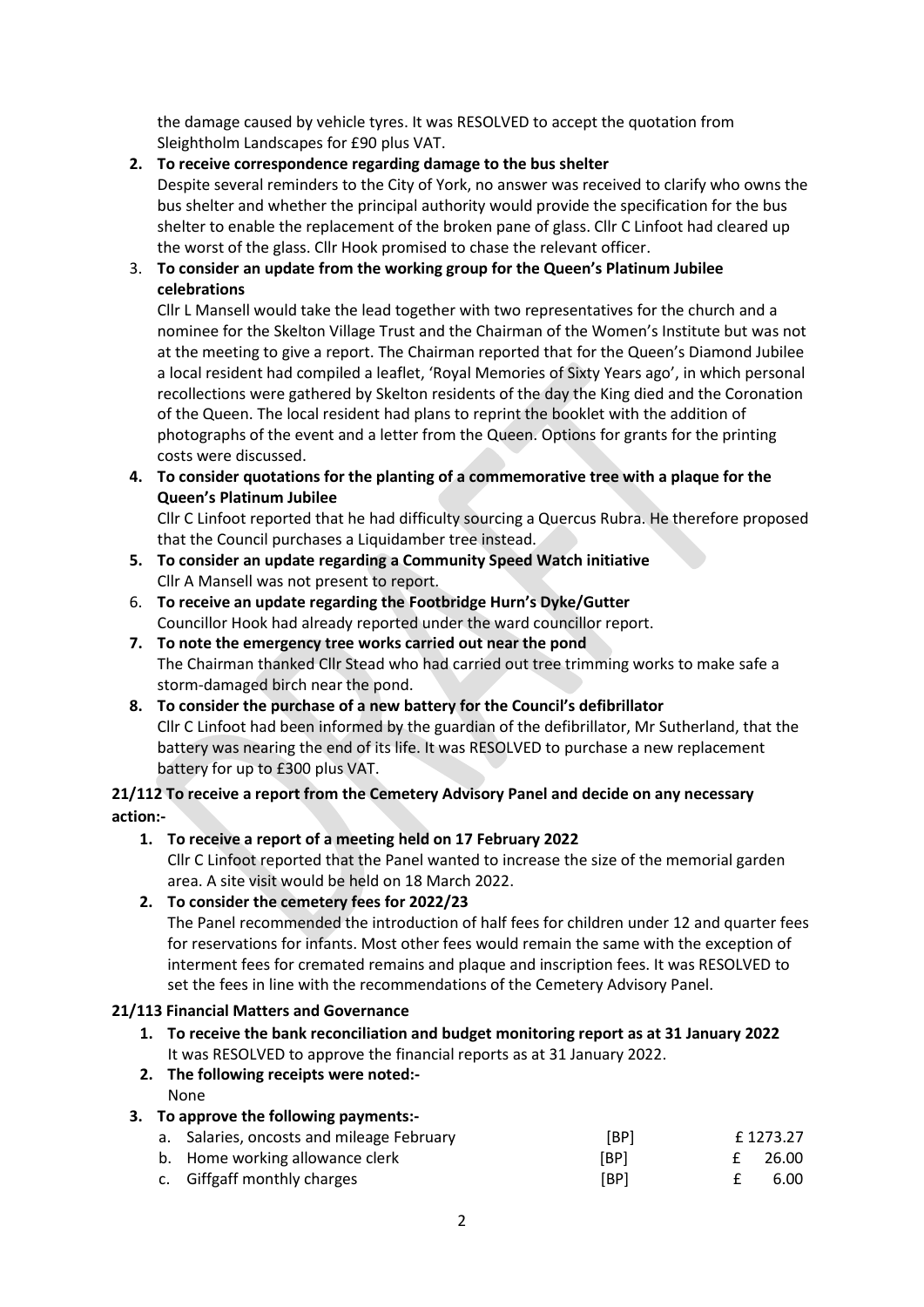the damage caused by vehicle tyres. It was RESOLVED to accept the quotation from Sleightholm Landscapes for £90 plus VAT.

#### **2. To receive correspondence regarding damage to the bus shelter**

Despite several reminders to the City of York, no answer was received to clarify who owns the bus shelter and whether the principal authority would provide the specification for the bus shelter to enable the replacement of the broken pane of glass. Cllr C Linfoot had cleared up the worst of the glass. Cllr Hook promised to chase the relevant officer.

# 3. **To consider an update from the working group for the Queen's Platinum Jubilee celebrations**

Cllr L Mansell would take the lead together with two representatives for the church and a nominee for the Skelton Village Trust and the Chairman of the Women's Institute but was not at the meeting to give a report. The Chairman reported that for the Queen's Diamond Jubilee a local resident had compiled a leaflet, 'Royal Memories of Sixty Years ago', in which personal recollections were gathered by Skelton residents of the day the King died and the Coronation of the Queen. The local resident had plans to reprint the booklet with the addition of photographs of the event and a letter from the Queen. Options for grants for the printing costs were discussed.

**4. To consider quotations for the planting of a commemorative tree with a plaque for the Queen's Platinum Jubilee**

Cllr C Linfoot reported that he had difficulty sourcing a Quercus Rubra. He therefore proposed that the Council purchases a Liquidamber tree instead.

- **5. To consider an update regarding a Community Speed Watch initiative** Cllr A Mansell was not present to report.
- 6. **To receive an update regarding the Footbridge Hurn's Dyke/Gutter** Councillor Hook had already reported under the ward councillor report.
- **7. To note the emergency tree works carried out near the pond** The Chairman thanked Cllr Stead who had carried out tree trimming works to make safe a storm-damaged birch near the pond.
- **8. To consider the purchase of a new battery for the Council's defibrillator** Cllr C Linfoot had been informed by the guardian of the defibrillator, Mr Sutherland, that the battery was nearing the end of its life. It was RESOLVED to purchase a new replacement battery for up to £300 plus VAT.

# **21/112 To receive a report from the Cemetery Advisory Panel and decide on any necessary action:-**

# **1. To receive a report of a meeting held on 17 February 2022**

Cllr C Linfoot reported that the Panel wanted to increase the size of the memorial garden area. A site visit would be held on 18 March 2022.

# **2. To consider the cemetery fees for 2022/23**

The Panel recommended the introduction of half fees for children under 12 and quarter fees for reservations for infants. Most other fees would remain the same with the exception of interment fees for cremated remains and plaque and inscription fees. It was RESOLVED to set the fees in line with the recommendations of the Cemetery Advisory Panel.

# **21/113 Financial Matters and Governance**

- **1. To receive the bank reconciliation and budget monitoring report as at 31 January 2022** It was RESOLVED to approve the financial reports as at 31 January 2022.
- **2. The following receipts were noted:-** None

# **3. To approve the following payments:-**

| a. Salaries, oncosts and mileage February | [BP] | £ 1273.27 |
|-------------------------------------------|------|-----------|
| b. Home working allowance clerk           | [BP] | £ 26.00   |
| c. Giffgaff monthly charges               | [BP] | 6.00      |